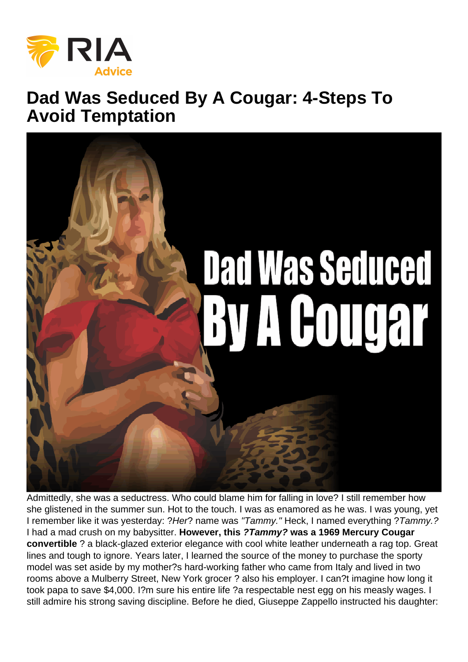## Dad Was Seduced By A Cougar: 4-Steps To Avoid Temptation

Admittedly, she was a seductress. Who could blame him for falling in love? I still remember how she glistened in the summer sun. Hot to the touch. I was as enamored as he was. I was young, yet I remember like it was yesterday: ?Her? name was "Tammy." Heck, I named everything ?Tammy.? I had a mad crush on my babysitter. However, this ?Tammy? was a 1969 Mercury Cougar convertible ? a black-glazed exterior elegance with cool white leather underneath a rag top. Great lines and tough to ignore. Years later, I learned the source of the money to purchase the sporty model was set aside by my mother?s hard-working father who came from Italy and lived in two rooms above a Mulberry Street, New York grocer ? also his employer. I can?t imagine how long it took papa to save \$4,000. I?m sure his entire life ?a respectable nest egg on his measly wages. I still admire his strong saving discipline. Before he died, Giuseppe Zappello instructed his daughter: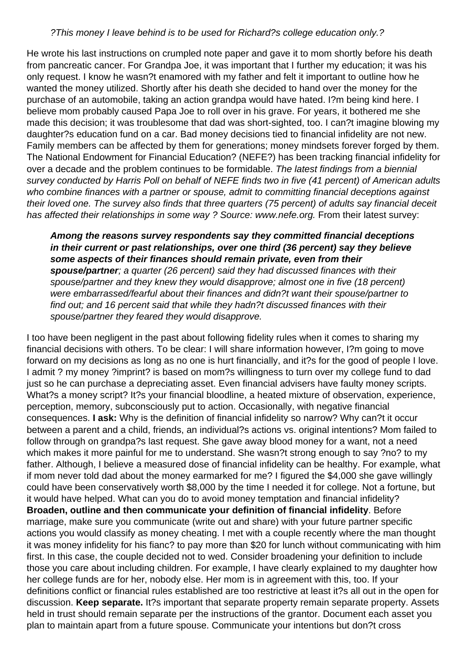## ?This money I leave behind is to be used for Richard?s college education only.?

He wrote his last instructions on crumpled note paper and gave it to mom shortly before his death from pancreatic cancer. For Grandpa Joe, it was important that I further my education; it was his only request. I know he wasn?t enamored with my father and felt it important to outline how he wanted the money utilized. Shortly after his death she decided to hand over the money for the purchase of an automobile, taking an action grandpa would have hated. I?m being kind here. I believe mom probably caused Papa Joe to roll over in his grave. For years, it bothered me she made this decision; it was troublesome that dad was short-sighted, too. I can?t imagine blowing my daughter?s education fund on a car. Bad money decisions tied to financial infidelity are not new. Family members can be affected by them for generations; money mindsets forever forged by them. The National Endowment for Financial Education? (NEFE?) has been tracking financial infidelity for over a decade and the problem continues to be formidable. The latest findings from a biennial survey conducted by Harris Poll on behalf of NEFE finds two in five (41 percent) of American adults who combine finances with a partner or spouse, admit to committing financial deceptions against their loved one. The survey also finds that three quarters (75 percent) of adults say financial deceit has affected their relationships in some way ? Source: www.nefe.org. From their latest survey:

**Among the reasons survey respondents say they committed financial deceptions in their current or past relationships, over one third (36 percent) say they believe some aspects of their finances should remain private, even from their spouse/partner**; a quarter (26 percent) said they had discussed finances with their spouse/partner and they knew they would disapprove; almost one in five (18 percent) were embarrassed/fearful about their finances and didn?t want their spouse/partner to find out; and 16 percent said that while they hadn?t discussed finances with their spouse/partner they feared they would disapprove.

I too have been negligent in the past about following fidelity rules when it comes to sharing my financial decisions with others. To be clear: I will share information however, I?m going to move forward on my decisions as long as no one is hurt financially, and it?s for the good of people I love. I admit ? my money ?imprint? is based on mom?s willingness to turn over my college fund to dad just so he can purchase a depreciating asset. Even financial advisers have faulty money scripts. What?s a money script? It?s your financial bloodline, a heated mixture of observation, experience, perception, memory, subconsciously put to action. Occasionally, with negative financial consequences. **I ask:** Why is the definition of financial infidelity so narrow? Why can?t it occur between a parent and a child, friends, an individual?s actions vs. original intentions? Mom failed to follow through on grandpa?s last request. She gave away blood money for a want, not a need which makes it more painful for me to understand. She wasn?t strong enough to say ?no? to my father. Although, I believe a measured dose of financial infidelity can be healthy. For example, what if mom never told dad about the money earmarked for me? I figured the \$4,000 she gave willingly could have been conservatively worth \$8,000 by the time I needed it for college. Not a fortune, but it would have helped. What can you do to avoid money temptation and financial infidelity? **Broaden, outline and then communicate your definition of financial infidelity**. Before marriage, make sure you communicate (write out and share) with your future partner specific actions you would classify as money cheating. I met with a couple recently where the man thought it was money infidelity for his fianc? to pay more than \$20 for lunch without communicating with him first. In this case, the couple decided not to wed. Consider broadening your definition to include those you care about including children. For example, I have clearly explained to my daughter how her college funds are for her, nobody else. Her mom is in agreement with this, too. If your definitions conflict or financial rules established are too restrictive at least it?s all out in the open for discussion. **Keep separate.** It?s important that separate property remain separate property. Assets held in trust should remain separate per the instructions of the grantor. Document each asset you plan to maintain apart from a future spouse. Communicate your intentions but don?t cross